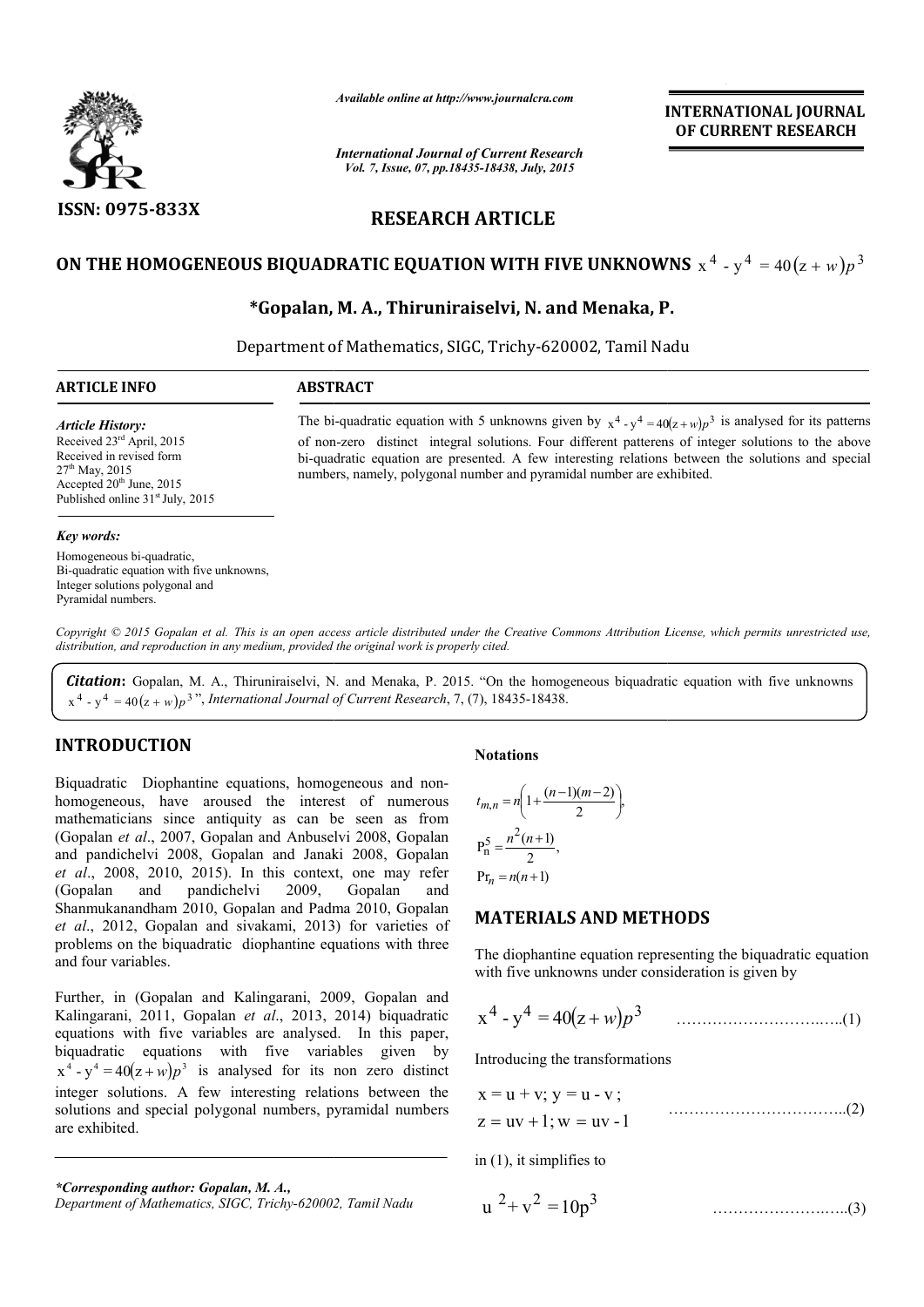

*Available online at http://www.journalcra.com*

*International Journal of Current Research Vol. 7, Issue, 07, pp.18435-18438, July, 2015*

**INTERNATIONAL INTERNATIONAL JOURNAL OF CURRENT RESEARCH** 

# **RESEARCH ARTICLE**

# ON THE HOMOGENEOUS BIQUADRATIC EQUATION WITH FIVE UNKNOWNS  $x^4 - y^4 = 40(z+w)p^3$

# **\*Gopalan, M. A., Thiruniraiselvi, N. and Menaka, P. P.**

Department of Mathematics, SIGC, Trichy-620002, Tamil Nadu

| <b>ARTICLE INFO</b>                                                                                                                                                        | <b>ABSTRACT</b>                                                                                                                                                                                                                                                                                                                                                                                |
|----------------------------------------------------------------------------------------------------------------------------------------------------------------------------|------------------------------------------------------------------------------------------------------------------------------------------------------------------------------------------------------------------------------------------------------------------------------------------------------------------------------------------------------------------------------------------------|
| <b>Article History:</b><br>Received $23rd$ April, 2015<br>Received in revised form<br>$27th$ May, 2015<br>Accepted $20th$ June, 2015<br>Published online $31st$ July, 2015 | The bi-quadratic equation with 5 unknowns given by $x^4 - y^4 = 40(z+w)p^3$ is analysed for its patterns<br>of non-zero distinct integral solutions. Four different patterens of integer solutions to the above<br>bi-quadratic equation are presented. A few interesting relations between the solutions and special<br>numbers, namely, polygonal number and pyramidal number are exhibited. |
| Key words:                                                                                                                                                                 |                                                                                                                                                                                                                                                                                                                                                                                                |

Homogeneous bi-quadratic, Bi-quadratic equation with five unknowns, Integer solutions polygonal and Pyramidal numbers.

Copyright © 2015 Gopalan et al. This is an open access article distributed under the Creative Commons Attribution License, which permits unrestricted use, *distribution, and reproduction in any medium, provided the original work is properly cited.*

**Citation:** Gopalan, M. A., Thiruniraiselvi, N. and Menaka, P. 2015. "On the homogeneous biquadratic equation with five unknowns  $(x^4 - y^4 = 40(z + w)p^3$ ", International Journal of Current Research, 7, (7), 18435-18438.

# **INTRODUCTION**

Biquadratic Diophantine equations, homogeneous and nonhomogeneous, have aroused the interest of numerous mathematicians since antiquity as can be seen as from (Gopalan *et al*., 2007, Gopalan and Anbuselvi 2008, Gopalan and pandichelvi 2008, Gopalan and Janaki 2008, Gopalan *et al*., 2008, 2010, 2015). In this context, one may refer (Gopalan and pandichelvi 2009, Gopalan and Shanmukanandham 2010, Gopalan and Padma 2010, Gopalan and pandichelvi 2008, Gopalan and Janaki 2008, Gopalan *et al.*, 2008, 2010, 2015). In this context, one may refer (Gopalan and pandichelvi 2009, Gopalan and Shanmukanandham 2010, Gopalan and Padma 2010, Gopalan *et al.*, problems on the biquadratic diophantine equations with three and four variables. **Fractal Solutions**<br> **Fraction** American be seen as from<br>
mbuselvi 2008, Gopalan<br>
Janaki 2008, Gopalan<br>
Janaki 2008, Gopalan<br>
Janaki 2008, Gopalan<br>
2018, Gopalan<br>
2019, Gopalan<br>
and Padma 2010, Gopalan<br>
2013) for varietie

Further, in (Gopalan and Kalingarani, 2009, Gopalan and Kalingarani, 2011, Gopalan *et al*., 2013, 2014) biquadratic equations with five variables are analysed. In this paper, biquadratic equations with five variables given by  $x^4 - y^4 = 40(z + w)p^3$  is analysed for its non zero distinct integer solutions. A few interesting relations between the solutions and special polygonal numbers, pyramidal numbers are exhibited.

*\*Corresponding author: Gopalan, M. A.,*

$$
t_{m,n} = n \left( 1 + \frac{(n-1)(m-2)}{2} \right),
$$
  
\n
$$
P_n^5 = \frac{n^2(n+1)}{2},
$$
  
\n
$$
P_{n} = n(n+1)
$$

## **MATERIALS AND METHODS METHODS**

 $\overline{\phantom{a}}$ 

The diophantine equation representing the biquadratic equation

with five unknowns under consideration is given by  

$$
x^4 - y^4 = 40(z+w)p^3
$$
.................(1)

Introducing the transformations

 $z = uv + 1$ ; w = uv -1  $x = u + v$ ;  $y = u - v$ ; ……………………………..(2)

in (1), it simplifies to

$$
u^{2} + v^{2} = 10p^{3}
$$
............(3)

*Department of Mathematics, SIGC, Trichy-620002, Tamil Nadu*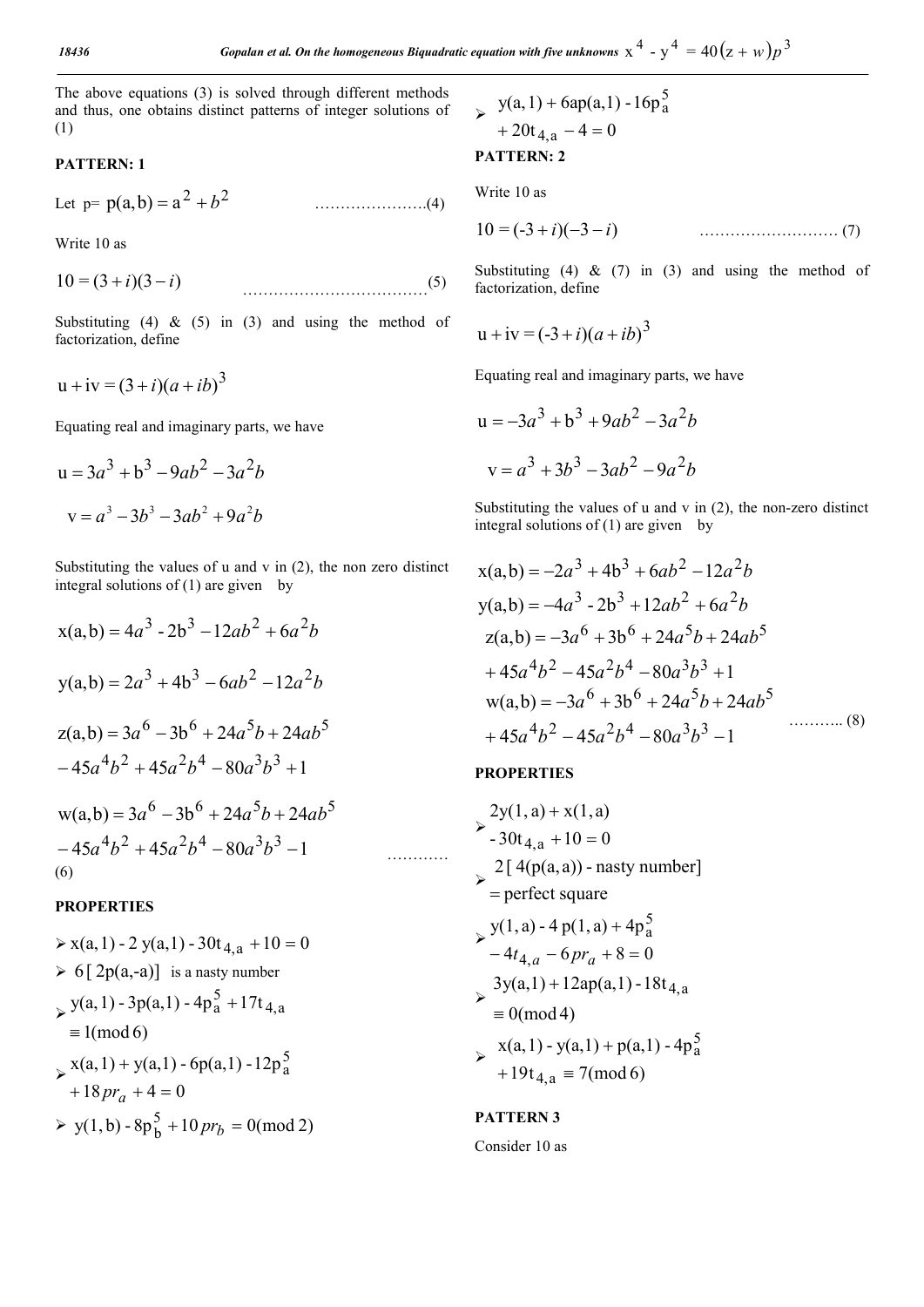The above equations (3) is solved through different methods and thus, one obtains distinct patterns of integer solutions of (1)

## **PATTERN: 1**

Let p= <sup>2</sup> <sup>2</sup> p(a,b) a *b* ………………….(4)

Write 10 as

 $10 = (3 + i)(3 - i)$  (5)

Substituting (4)  $\&$  (5) in (3) and using the method of factorization, define

$$
u + iv = (3 + i)(a + ib)^3
$$

Equating real and imaginary parts, we have

$$
u = 3a3 + b3 - 9ab2 - 3a2b
$$
  

$$
v = a3 - 3b3 - 3ab2 + 9a2b
$$

Substituting the values of u and v in (2), the non zero distinct integral solutions of  $(1)$  are given by

$$
x(a,b) = 4a^3 - 2b^3 - 12ab^2 + 6a^2b
$$
  
\n
$$
y(a,b) = 2a^3 + 4b^3 - 6ab^2 - 12a^2b
$$
  
\n
$$
z(a,b) = 3a^6 - 3b^6 + 24a^5b + 24ab^5
$$
  
\n
$$
-45a^4b^2 + 45a^2b^4 - 80a^3b^3 + 1
$$
  
\n
$$
w(a,b) = 3a^6 - 3b^6 + 24a^5b + 24ab^5
$$
  
\n
$$
-45a^4b^2 + 45a^2b^4 - 80a^3b^3 - 1
$$

# (6)

#### **PROPERTIES**

$$
\Rightarrow x(a, 1) - 2y(a, 1) - 30t_{4, a} + 10 = 0
$$
  
\n
$$
\Rightarrow 6[2p(a, -a)] \text{ is a nasty number}
$$
  
\n
$$
\Rightarrow y(a, 1) - 3p(a, 1) - 4p_a^5 + 17t_{4, a}
$$
  
\n
$$
\equiv 1 \text{(mod 6)}
$$
  
\n
$$
\Rightarrow x(a, 1) + y(a, 1) - 6p(a, 1) - 12p_a^5
$$
  
\n
$$
+ 18pr_a + 4 = 0
$$
  
\n
$$
\Rightarrow y(1, b) - 8p_b^5 + 10pr_b = 0 \text{(mod 2)}
$$

> 
$$
y(a, 1) + 6ap(a, 1) - 16p_a^5
$$
  
+ 20t<sub>4, a</sub> - 4 = 0

#### **PATTERN: 2**

Write 10 as

$$
10 = (-3 + i)(-3 - i) \tag{7}
$$

Substituting (4)  $\&$  (7) in (3) and using the method of factorization, define

$$
u + iv = (-3 + i)(a + ib)^3
$$

Equating real and imaginary parts, we have

$$
u = -3a^{3} + b^{3} + 9ab^{2} - 3a^{2}b
$$

$$
v = a^{3} + 3b^{3} - 3ab^{2} - 9a^{2}b
$$

Substituting the values of u and v in (2), the non-zero distinct integral solutions of (1) are given by

$$
x(a,b) = -2a^3 + 4b^3 + 6ab^2 - 12a^2b
$$
  
\n
$$
y(a,b) = -4a^3 - 2b^3 + 12ab^2 + 6a^2b
$$
  
\n
$$
z(a,b) = -3a^6 + 3b^6 + 24a^5b + 24ab^5
$$
  
\n
$$
+ 45a^4b^2 - 45a^2b^4 - 80a^3b^3 + 1
$$
  
\n
$$
w(a,b) = -3a^6 + 3b^6 + 24a^5b + 24ab^5
$$
  
\n
$$
+ 45a^4b^2 - 45a^2b^4 - 80a^3b^3 - 1
$$
  
\n(8)

### **PROPERTIES**

…………

$$
\sum_{1}^{2} y(1, a) + x(1, a)
$$
  
\n
$$
\sum_{1}^{2} 30t_{4, a} + 10 = 0
$$
  
\n
$$
\sum_{1}^{2} [4(p(a, a)) - nasty number]
$$
  
\n
$$
\sum_{1}^{2} y(1, a) - 4 p(1, a) + 4p_a^5
$$
  
\n
$$
\sum_{1}^{2} -4t_{4, a} - 6pr_a + 8 = 0
$$
  
\n
$$
\sum_{1}^{2} 3y(a, 1) + 12ap(a, 1) - 18t_{4, a}
$$
  
\n
$$
\sum_{1}^{2} y(a, 1) - y(a, 1) + p(a, 1) - 4p_a^5
$$
  
\n
$$
\sum_{1}^{2} y(a, a, 1) - y(a, 1) + p(a, 1) - 4p_a^5
$$
  
\n
$$
\sum_{1}^{2} y(a, a, 1) - y(a, 1) + p(a, 1) - 4p_a^5
$$
  
\n
$$
\sum_{1}^{2} y(a, a, 1) - y(a, 1) + p(a, 1) - 4p_a^5
$$

# **PATTERN 3**

Consider 10 as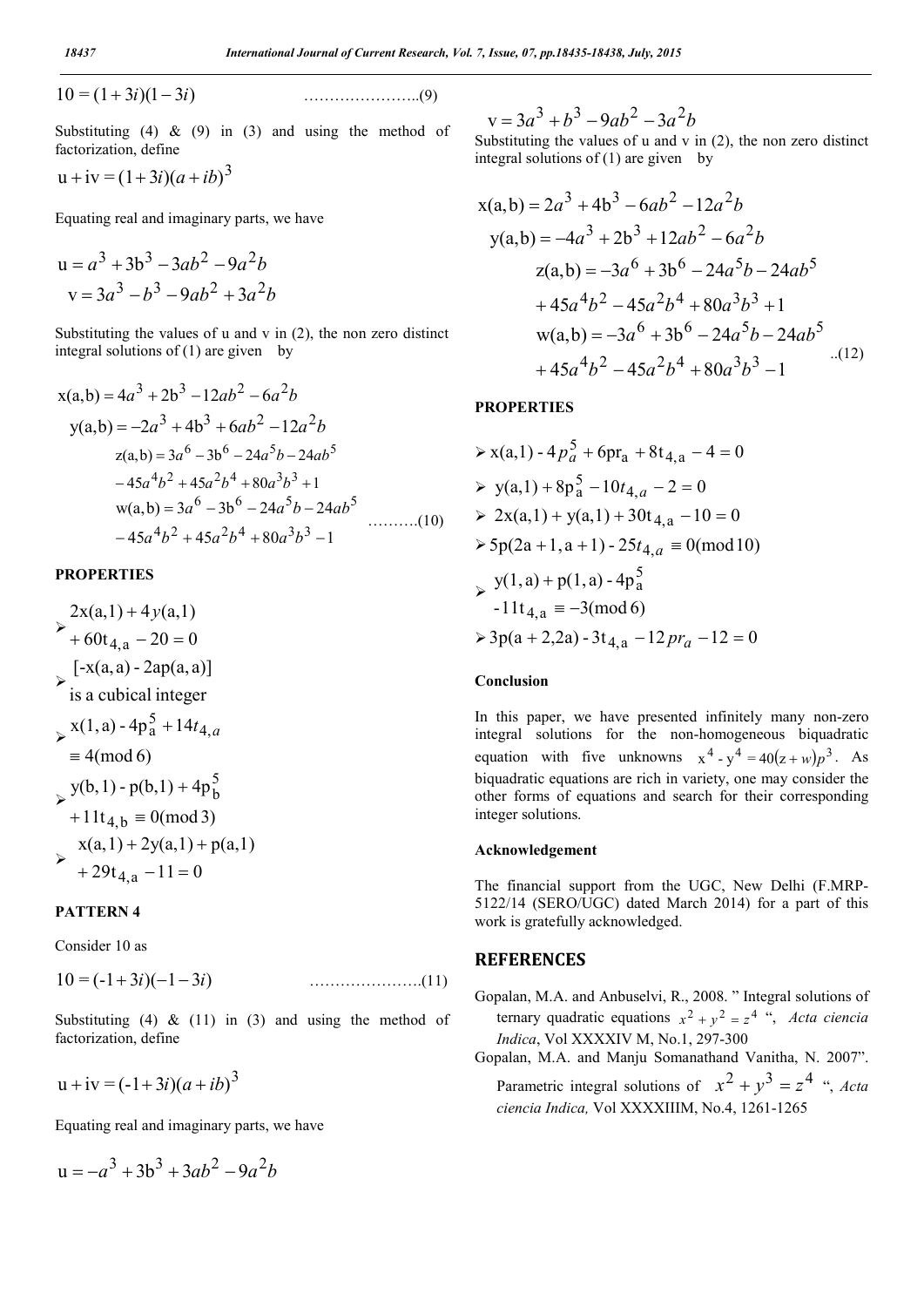10 = (1 3*i*)(1 3*i*) …………………..(9)

$$
10 = (1+3i)(1-3i)
$$

Substituting (4)  $\&$  (9) in (3) and using the method of factorization, define

$$
u+iv=(1+3i)(a+ib)^3
$$

Equating real and imaginary parts, we have

$$
u = a3 + 3b3 - 3ab2 - 9a2b
$$
  

$$
v = 3a3 - b3 - 9ab2 + 3a2b
$$

Substituting the values of u and v in (2), the non zero distinct integral solutions of  $(1)$  are given by

$$
x(a,b) = 4a3 + 2b3 - 12ab2 - 6a2b
$$
  
\n
$$
y(a,b) = -2a3 + 4b3 + 6ab2 - 12a2b
$$
  
\n
$$
z(a,b) = 3a6 - 3b6 - 24a5b - 24ab5
$$
  
\n
$$
-45a4b2 + 45a2b4 + 80a3b3 + 1
$$
  
\n
$$
w(a,b) = 3a6 - 3b6 - 24a5b - 24ab5
$$
  
\n
$$
-45a4b2 + 45a2b4 + 80a3b3 - 1
$$
 (10)

#### **PROPERTIES**

$$
\begin{aligned}\n &\geq x(a,1) + 4y(a,1) \\
 &\rightarrow + 60t_{4,a} - 20 = 0 \\
 &\geq [x(a,a) - 2ap(a,a)] \\
 &\geq x(1,a) - 4p_a^5 + 14t_{4,a} \\
 &\equiv 4 \pmod{6} \\
 &\geq y(b,1) - p(b,1) + 4p_b^5 \\
 &\quad+ 11t_{4,b} \equiv 0 \pmod{3} \\
 &\geq x(a,1) + 2y(a,1) + p(a,1) \\
 &\rightarrow + 29t_{4,a} - 11 = 0\n \end{aligned}
$$

### **PATTERN 4**

Consider 10 as

 $10 = (-1 + 3i)(-1 - 3i)$  ………………………(11)

Substituting (4)  $\&$  (11) in (3) and using the method of factorization, define

$$
u + iv = (-1 + 3i)(a + ib)^3
$$

Equating real and imaginary parts, we have

$$
u = -a^3 + 3b^3 + 3ab^2 - 9a^2b
$$

 $a^2 + b^3 - 9ab^2 - 3a^2b$ 

Substituting the values of u and v in (2), the non zero distinct integral solutions of (1) are given by

$$
x(a,b) = 2a^3 + 4b^3 - 6ab^2 - 12a^2b
$$
  
\n
$$
y(a,b) = -4a^3 + 2b^3 + 12ab^2 - 6a^2b
$$
  
\n
$$
z(a,b) = -3a^6 + 3b^6 - 24a^5b - 24ab^5
$$
  
\n
$$
+ 45a^4b^2 - 45a^2b^4 + 80a^3b^3 + 1
$$
  
\n
$$
w(a,b) = -3a^6 + 3b^6 - 24a^5b - 24ab^5
$$
  
\n
$$
+ 45a^4b^2 - 45a^2b^4 + 80a^3b^3 - 1
$$
...(12)

## **PROPERTIES**

$$
\Rightarrow x(a,1) - 4p_a^5 + 6pr_a + 8t_{4,a} - 4 = 0
$$
  
\n
$$
\Rightarrow y(a,1) + 8p_a^5 - 10t_{4,a} - 2 = 0
$$
  
\n
$$
\Rightarrow 2x(a,1) + y(a,1) + 30t_{4,a} - 10 = 0
$$
  
\n
$$
\Rightarrow 5p(2a + 1, a + 1) - 25t_{4,a} = 0 \pmod{10}
$$
  
\n
$$
\Rightarrow \frac{y(1,a) + p(1,a) - 4p_a^5}{-11t_{4,a} = -3 \pmod{6}}
$$
  
\n
$$
\Rightarrow 3p(a + 2,2a) - 3t_{4,a} - 12pr_a - 12 = 0
$$

#### **Conclusion**

In this paper, we have presented infinitely many non-zero integral solutions for the non-homogeneous biquadratic equation with five unknowns  $x^4 - y^4 = 40(z+w)p^3$ . As biquadratic equations are rich in variety, one may consider the other forms of equations and search for their corresponding integer solutions.

#### **Acknowledgement**

The financial support from the UGC, New Delhi (F.MRP-5122/14 (SERO/UGC) dated March 2014) for a part of this work is gratefully acknowledged.

## **REFERENCES**

- Gopalan, M.A. and Anbuselvi, R., 2008. " Integral solutions of ternary quadratic equations  $x^2 + y^2 = z^4$  ", *Acta ciencia Indica*, Vol XXXXIV M, No.1, 297-300
- Gopalan, M.A. and Manju Somanathand Vanitha, N. 2007". Parametric integral solutions of  $x^2 + y^3 = z^4$  ", *Acta ciencia Indica,* Vol XXXXIIIM, No.4, 1261-1265